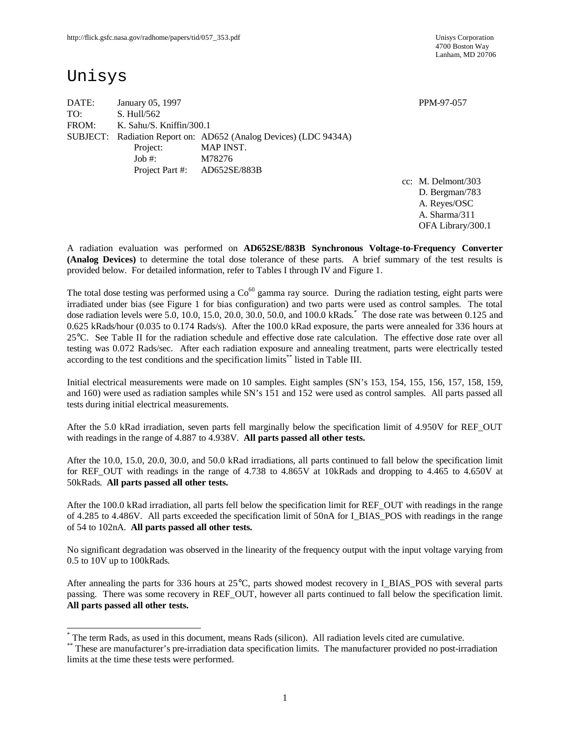4700 Boston Way Lanham, MD 20706

## Unisys

 $\overline{a}$ 

DATE: January 05, 1997 PPM-97-057 TO: S. Hull/562 FROM: K. Sahu/S. Kniffin/300.1 SUBJECT: Radiation Report on: AD652 (Analog Devices) (LDC 9434A) Project: MAP INST. Job #: M78276 Project Part #: AD652SE/883B

cc: M. Delmont/303 D. Bergman/783 A. Reyes/OSC A. Sharma/311 OFA Library/300.1

A radiation evaluation was performed on **AD652SE/883B Synchronous Voltage-to-Frequency Converter (Analog Devices)** to determine the total dose tolerance of these parts. A brief summary of the test results is provided below. For detailed information, refer to Tables I through IV and Figure 1.

The total dose testing was performed using a  $Co^{60}$  gamma ray source. During the radiation testing, eight parts were irradiated under bias (see Figure 1 for bias configuration) and two parts were used as control samples. The total dose radiation levels were 5.0, 10.0, 15.0, 20.0, 30.0, 50.0, and 100.0 kRads. \* The dose rate was between 0.125 and 0.625 kRads/hour (0.035 to 0.174 Rads/s). After the 100.0 kRad exposure, the parts were annealed for 336 hours at 25°C. See Table II for the radiation schedule and effective dose rate calculation. The effective dose rate over all testing was 0.072 Rads/sec. After each radiation exposure and annealing treatment, parts were electrically tested according to the test conditions and the specification limits\*\* listed in Table III.

Initial electrical measurements were made on 10 samples. Eight samples (SN's 153, 154, 155, 156, 157, 158, 159, and 160) were used as radiation samples while SN's 151 and 152 were used as control samples. All parts passed all tests during initial electrical measurements.

After the 5.0 kRad irradiation, seven parts fell marginally below the specification limit of 4.950V for REF\_OUT with readings in the range of 4.887 to 4.938V. **All parts passed all other tests.**

After the 10.0, 15.0, 20.0, 30.0, and 50.0 kRad irradiations, all parts continued to fall below the specification limit for REF\_OUT with readings in the range of 4.738 to 4.865V at 10kRads and dropping to 4.465 to 4.650V at 50kRads. **All parts passed all other tests.**

After the 100.0 kRad irradiation, all parts fell below the specification limit for REF\_OUT with readings in the range of 4.285 to 4.486V. All parts exceeded the specification limit of 50nA for I\_BIAS\_POS with readings in the range of 54 to 102nA. **All parts passed all other tests.**

No significant degradation was observed in the linearity of the frequency output with the input voltage varying from 0.5 to 10V up to 100kRads.

After annealing the parts for 336 hours at 25°C, parts showed modest recovery in I\_BIAS\_POS with several parts passing. There was some recovery in REF\_OUT, however all parts continued to fall below the specification limit. **All parts passed all other tests.**

<sup>\*</sup> The term Rads, as used in this document, means Rads (silicon). All radiation levels cited are cumulative.

<sup>\*\*</sup> These are manufacturer's pre-irradiation data specification limits. The manufacturer provided no post-irradiation limits at the time these tests were performed.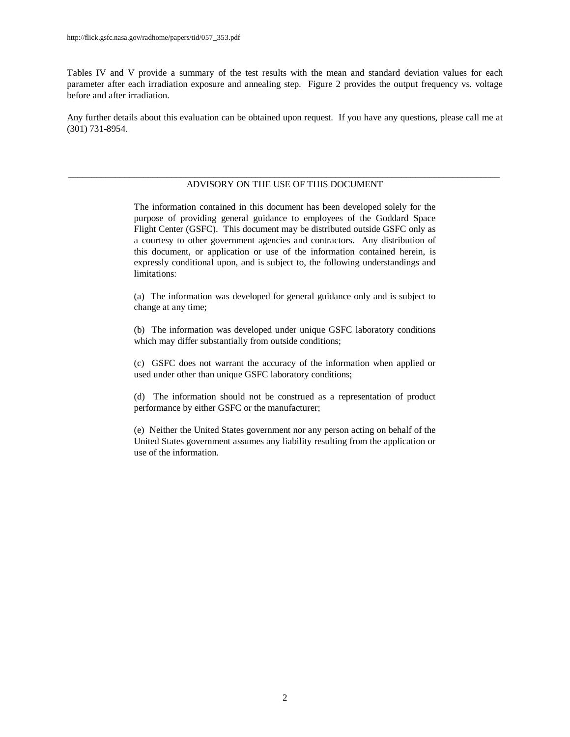Tables IV and V provide a summary of the test results with the mean and standard deviation values for each parameter after each irradiation exposure and annealing step. Figure 2 provides the output frequency vs. voltage before and after irradiation.

Any further details about this evaluation can be obtained upon request. If you have any questions, please call me at (301) 731-8954.

#### \_\_\_\_\_\_\_\_\_\_\_\_\_\_\_\_\_\_\_\_\_\_\_\_\_\_\_\_\_\_\_\_\_\_\_\_\_\_\_\_\_\_\_\_\_\_\_\_\_\_\_\_\_\_\_\_\_\_\_\_\_\_\_\_\_\_\_\_\_\_\_\_\_\_\_\_\_\_\_\_\_\_\_\_\_\_\_\_\_\_\_\_ ADVISORY ON THE USE OF THIS DOCUMENT

The information contained in this document has been developed solely for the purpose of providing general guidance to employees of the Goddard Space Flight Center (GSFC). This document may be distributed outside GSFC only as a courtesy to other government agencies and contractors. Any distribution of this document, or application or use of the information contained herein, is expressly conditional upon, and is subject to, the following understandings and limitations:

(a) The information was developed for general guidance only and is subject to change at any time;

(b) The information was developed under unique GSFC laboratory conditions which may differ substantially from outside conditions;

(c) GSFC does not warrant the accuracy of the information when applied or used under other than unique GSFC laboratory conditions;

(d) The information should not be construed as a representation of product performance by either GSFC or the manufacturer;

(e) Neither the United States government nor any person acting on behalf of the United States government assumes any liability resulting from the application or use of the information.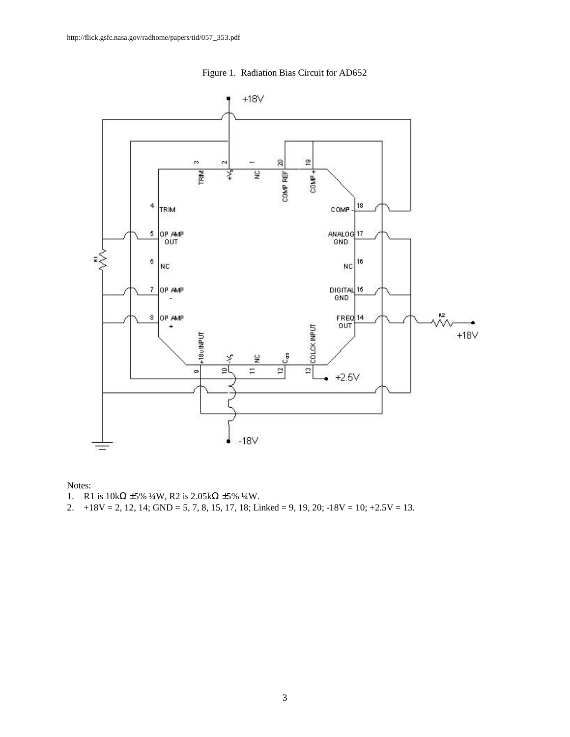

Figure 1. Radiation Bias Circuit for AD652

Notes:

- 1. R1 is  $10\text{k}\Omega \pm 5\% 1/4\text{W}$ , R2 is  $2.05\text{k}\Omega \pm 5\% 1/4\text{W}$ .
- 2.  $+18V = 2$ , 12, 14; GND = 5, 7, 8, 15, 17, 18; Linked = 9, 19, 20; -18V = 10;  $+2.5V = 13$ .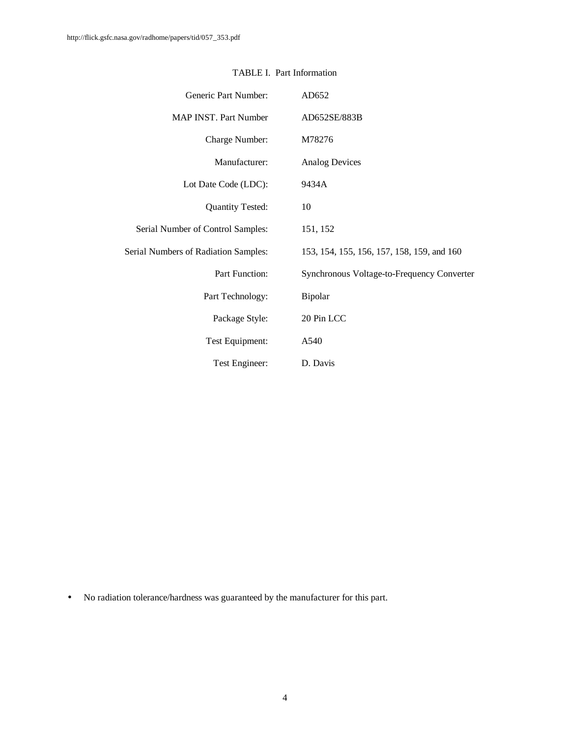| Generic Part Number:                        | AD652                                      |
|---------------------------------------------|--------------------------------------------|
| <b>MAP INST. Part Number</b>                | AD652SE/883B                               |
| Charge Number:                              | M78276                                     |
| Manufacturer:                               | <b>Analog Devices</b>                      |
| Lot Date Code (LDC):                        | 9434A                                      |
| <b>Quantity Tested:</b>                     | 10                                         |
| Serial Number of Control Samples:           | 151, 152                                   |
| <b>Serial Numbers of Radiation Samples:</b> | 153, 154, 155, 156, 157, 158, 159, and 160 |
| Part Function:                              | Synchronous Voltage-to-Frequency Converter |
| Part Technology:                            | Bipolar                                    |
| Package Style:                              | 20 Pin LCC                                 |
| Test Equipment:                             | A540                                       |
| Test Engineer:                              | D. Davis                                   |

### TABLE I. Part Information

• No radiation tolerance/hardness was guaranteed by the manufacturer for this part.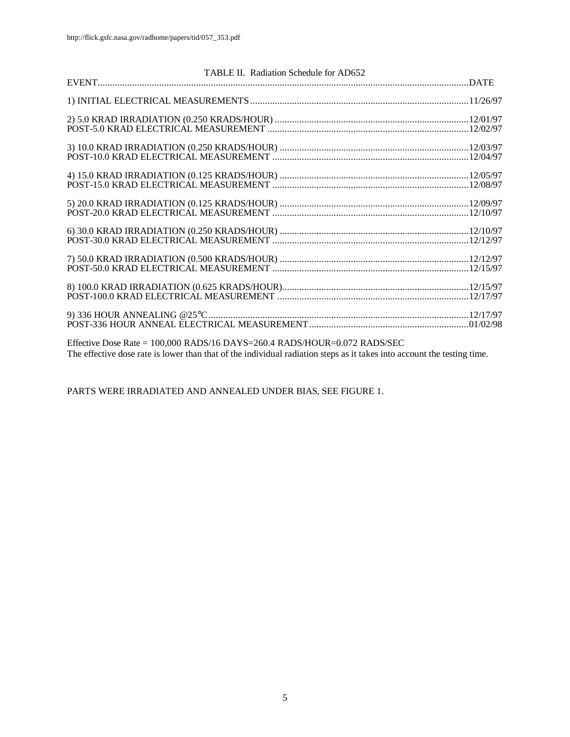| TABLE II. Radiation Schedule for AD652                                                                                                                                                                                                                                                                                                             |  |
|----------------------------------------------------------------------------------------------------------------------------------------------------------------------------------------------------------------------------------------------------------------------------------------------------------------------------------------------------|--|
|                                                                                                                                                                                                                                                                                                                                                    |  |
|                                                                                                                                                                                                                                                                                                                                                    |  |
|                                                                                                                                                                                                                                                                                                                                                    |  |
|                                                                                                                                                                                                                                                                                                                                                    |  |
|                                                                                                                                                                                                                                                                                                                                                    |  |
|                                                                                                                                                                                                                                                                                                                                                    |  |
|                                                                                                                                                                                                                                                                                                                                                    |  |
|                                                                                                                                                                                                                                                                                                                                                    |  |
|                                                                                                                                                                                                                                                                                                                                                    |  |
| $E_{\text{total}}^{f}$ $D_{\text{total}}^{f}$ $D_{\text{total}}^{f}$ $D_{\text{total}}^{f}$ $D_{\text{A}}^{f}$ $D_{\text{C}}^{f}$ $D_{\text{A}}^{f}$ $D_{\text{C}}^{f}$ $D_{\text{A}}^{f}$ $D_{\text{C}}^{f}$ $D_{\text{C}}^{f}$ $D_{\text{C}}^{f}$ $D_{\text{C}}^{f}$ $D_{\text{C}}^{f}$ $D_{\text{C}}^{f}$ $D_{\text{C}}^{f}$ $D_{\text{C}}^{f}$ |  |

Effective Dose Rate = 100,000 RADS/16 DAYS=260.4 RADS/HOUR=0.072 RADS/SEC The effective dose rate is lower than that of the individual radiation steps as it takes into account the testing time.

PARTS WERE IRRADIATED AND ANNEALED UNDER BIAS, SEE FIGURE 1.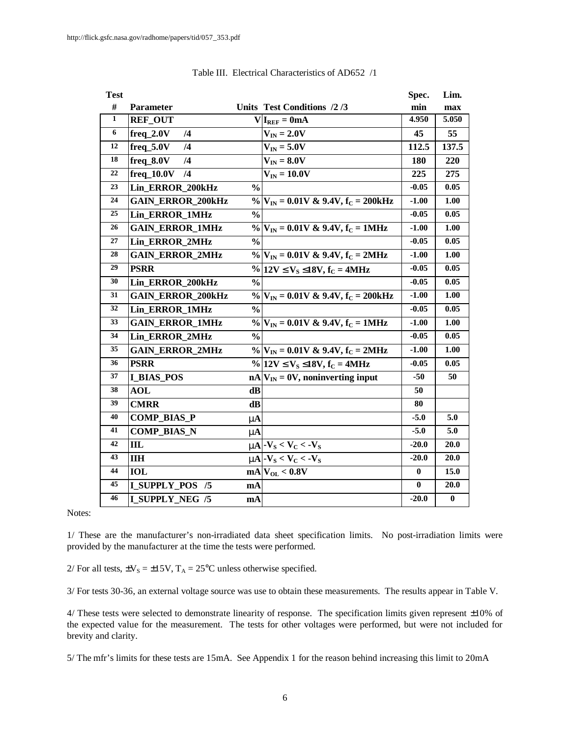| <b>Test</b> |                          |               |                                                       | Spec.    | Lim.     |
|-------------|--------------------------|---------------|-------------------------------------------------------|----------|----------|
| #           | Parameter                |               | Units Test Conditions /2/3                            | min      | max      |
| 1           | <b>REF_OUT</b>           |               | $V I_{REF}=0mA$                                       | 4.950    | 5.050    |
| 6           | $freq_2.0V$<br>/4        |               | $V_{IN} = 2.0V$                                       | 45       | 55       |
| 12          | $freq_5.0V$<br>/4        |               | $V_{IN} = 5.0V$                                       | 112.5    | 137.5    |
| 18          | $freq_8.0V$<br>/4        |               | $V_{IN} = 8.0V$                                       | 180      | 220      |
| 22          | $freq_10.0V$<br>/4       |               | $V_{IN} = 10.0V$                                      | 225      | 275      |
| 23          | Lin_ERROR_200kHz         | $\frac{0}{0}$ |                                                       | $-0.05$  | 0.05     |
| 24          | <b>GAIN_ERROR_200kHz</b> |               | $\%$ $V_{IN}$ = 0.01V & 9.4V, f <sub>c</sub> = 200kHz | $-1.00$  | 1.00     |
| 25          | Lin_ERROR_1MHz           | $\frac{0}{0}$ |                                                       | $-0.05$  | 0.05     |
| 26          | <b>GAIN ERROR 1MHz</b>   |               | $\%$ $ V_{IN} = 0.01V \& 9.4V, f_C = 1MHz$            | $-1.00$  | 1.00     |
| 27          | <b>Lin ERROR 2MHz</b>    | $\frac{0}{0}$ |                                                       | $-0.05$  | 0.05     |
| 28          | <b>GAIN_ERROR_2MHz</b>   |               | $\%$ $ V_{IN} = 0.01V \& 9.4V, f_C = 2MHz$            | $-1.00$  | 1.00     |
| 29          | <b>PSRR</b>              |               | % 12V £V <sub>S</sub> £18V, f <sub>C</sub> = 4MHz     | $-0.05$  | 0.05     |
| 30          | Lin_ERROR_200kHz         | $\frac{0}{0}$ |                                                       | $-0.05$  | 0.05     |
| 31          | <b>GAIN_ERROR_200kHz</b> |               | % $V_{IN} = 0.01V$ & 9.4V, $f_C = 200kHz$             | $-1.00$  | 1.00     |
| 32          | <b>Lin ERROR 1MHz</b>    | $\frac{6}{6}$ |                                                       | $-0.05$  | 0.05     |
| 33          | <b>GAIN_ERROR_1MHz</b>   |               | $\%$ $ V_{IN} = 0.01V \& 9.4V, f_C = 1MHz$            | $-1.00$  | 1.00     |
| 34          | Lin_ERROR_2MHz           | $\frac{0}{0}$ |                                                       | $-0.05$  | 0.05     |
| 35          | <b>GAIN_ERROR_2MHz</b>   |               | $\%$ $ V_{IN} = 0.01V \& 9.4V, f_C = 2MHz$            | $-1.00$  | 1.00     |
| 36          | <b>PSRR</b>              |               | % 12V £ $V_s$ £18V, $f_c = 4MHz$                      | -0.05    | 0.05     |
| 37          | <b>I BIAS POS</b>        |               | $nA V_{IN} = 0V$ , noninverting input                 | $-50$    | 50       |
| 38          | <b>AOL</b>               | dB            |                                                       | 50       |          |
| 39          | <b>CMRR</b>              | $\bf dB$      |                                                       | 80       |          |
| 40          | <b>COMP_BIAS_P</b>       | m             |                                                       | $-5.0$   | 5.0      |
| 41          | <b>COMP_BIAS_N</b>       | m             |                                                       | $-5.0$   | 5.0      |
| 42          | III                      |               | $mA - VS < VC < -VS$                                  | $-20.0$  | 20.0     |
| 43          | <b>IIH</b>               |               | $mN_S < V_C < V_S$                                    | $-20.0$  | 20.0     |
| 44          | <b>IOL</b>               |               | $mA$ <sub>OL</sub> < $0.8V$                           | $\bf{0}$ | 15.0     |
| 45          | <b>I_SUPPLY_POS /5</b>   | mA            |                                                       | $\bf{0}$ | 20.0     |
| 46          | <b>I_SUPPLY_NEG /5</b>   | mA            |                                                       | $-20.0$  | $\bf{0}$ |

Table III. Electrical Characteristics of AD652 /1

Notes:

1/ These are the manufacturer's non-irradiated data sheet specification limits. No post-irradiation limits were provided by the manufacturer at the time the tests were performed.

2/ For all tests,  $\pm V_s = \pm 15V$ ,  $T_A = 25^{\circ}$ C unless otherwise specified.

3/ For tests 30-36, an external voltage source was use to obtain these measurements. The results appear in Table V.

4/ These tests were selected to demonstrate linearity of response. The specification limits given represent  $\pm 10\%$  of the expected value for the measurement. The tests for other voltages were performed, but were not included for brevity and clarity.

5/ The mfr's limits for these tests are 15mA. See Appendix 1 for the reason behind increasing this limit to 20mA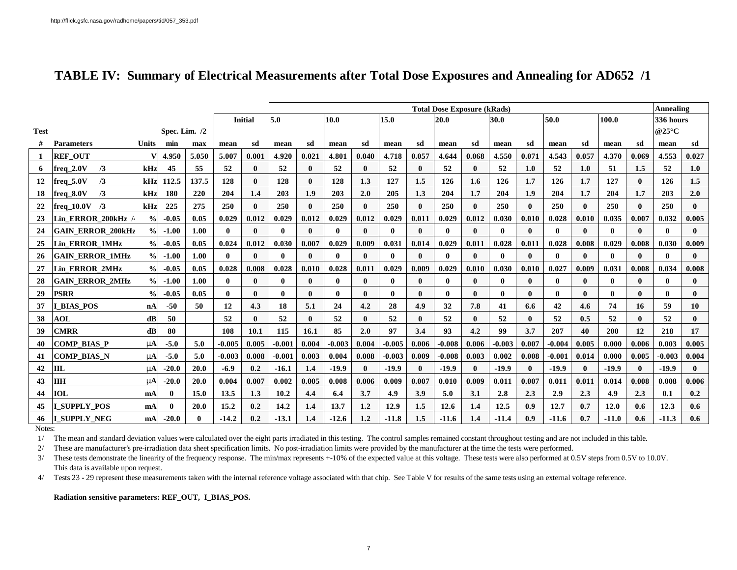|             |                          |                  |               |          |              |                | <b>Total Dose Exposure (kRads)</b> |                                      |              |              |          |       |              |                  |              |       |              | Annealing    |              |              |              |              |
|-------------|--------------------------|------------------|---------------|----------|--------------|----------------|------------------------------------|--------------------------------------|--------------|--------------|----------|-------|--------------|------------------|--------------|-------|--------------|--------------|--------------|--------------|--------------|--------------|
|             |                          |                  |               |          |              | <b>Initial</b> | 5.0                                | 10.0<br>15.0<br>50.0<br>20.0<br>30.0 |              |              |          |       |              |                  |              | 100.0 |              | 336 hours    |              |              |              |              |
| <b>Test</b> |                          |                  | Spec. Lim. /2 |          |              |                |                                    |                                      |              |              |          |       |              |                  |              |       |              |              |              |              | @25°C        |              |
|             | <b>Parameters</b>        | <b>Units</b>     | min           | max      | mean         | sd             | mean                               | sd                                   | mean         | sd           | mean     | sd    | mean         | sd               | mean         | sd    | mean         | sd           | mean         | sd           | mean         | sd           |
|             | <b>REF OUT</b>           |                  | 4.950         | 5.050    | 5.007        | 0.001          | 4.920                              | 0.021                                | 4.801        | 0.040        | 4.718    | 0.057 | 4.644        | 0.068            | 4.550        | 0.071 | 4.543        | 0.057        | 4.370        | 0.069        | 4.553        | 0.027        |
| 6           | $freq$ 2.0V<br>/3        | kHz              | 45            | 55       | 52           | $\mathbf{0}$   | 52                                 | 0                                    | 52           | 0            | 52       |       | 52           | 0                | 52           | 1.0   | 52           | 1.0          | 51           | 1.5          | 52           | 1.0          |
| 12          | $freq_5.0V$<br>/3        | kHz              | 112.5         | 137.5    | 128          | $\mathbf{0}$   | 128                                | 0                                    | 128          | 1.3          | 127      | 1.5   | 126          | $1.6\phantom{0}$ | 126          | 1.7   | 126          | 1.7          | 127          | $\mathbf{0}$ | 126          | 1.5          |
| 18          | freq 8.0V<br>/3          | kHz              | 180           | 220      | 204          | 1.4            | 203                                | 1.9                                  | 203          | 2.0          | 205      | 1.3   | 204          | 1.7              | 204          | 1.9   | 204          | 1.7          | 204          | 1.7          | 203          | 2.0          |
| 22          | $freq_10.0V$ /3          | kHz              | 225           | 275      | 250          | $\mathbf{0}$   | 250                                | $\mathbf{0}$                         | 250          | $\mathbf{0}$ | 250      |       | 250          | $\mathbf{0}$     | 250          | 0     | 250          | $\mathbf{0}$ | 250          | $\mathbf{0}$ | 250          | $\mathbf{0}$ |
| 23          | Lin ERROR 200kHz /       | $\frac{0}{0}$    | $-0.05$       | 0.05     | 0.029        | 0.012          | 0.029                              | 0.012                                | 0.029        | 0.012        | 0.029    | 0.011 | 0.029        | 0.012            | 0.030        | 0.010 | 0.028        | 0.010        | 0.035        | 0.007        | 0.032        | 0.005        |
| 24          | <b>GAIN ERROR 200kHz</b> | $\frac{6}{9}$    | $-1.00$       | 1.00     | $\mathbf{0}$ | $\mathbf{0}$   | $\mathbf{0}$                       | $\mathbf{0}$                         | 0            | $\mathbf{0}$ | 0        |       | 0            | $\mathbf{0}$     | $\mathbf{0}$ | 0     | $\mathbf{0}$ | $\mathbf{0}$ | $\mathbf{0}$ | $\mathbf{0}$ | $\mathbf{0}$ | $\mathbf{0}$ |
| 25          | Lin ERROR 1MHz           | $\frac{6}{6}$    | $-0.05$       | 0.05     | 0.024        | 0.012          | 0.030                              | 0.007                                | 0.029        | 0.009        | 0.031    | 0.014 | 0.029        | 0.011            | 0.028        | 0.011 | 0.028        | 0.008        | 0.029        | 0.008        | 0.030        | 0.009        |
| 26          | <b>GAIN ERROR 1MHz</b>   | $\frac{0}{0}$    | $-1.00$       | 1.00     | $\mathbf{0}$ | $\mathbf{0}$   | 0                                  | 0                                    | $\mathbf{0}$ | $\mathbf{0}$ | 0        |       | 0            | $\mathbf{0}$     | $\mathbf{0}$ | 0     | $\mathbf{0}$ | $\mathbf{0}$ | $\mathbf{0}$ | $\mathbf{0}$ | $\mathbf{0}$ | $\mathbf{0}$ |
| 27          | Lin ERROR 2MHz           | $\frac{0}{0}$    | $-0.05$       | 0.05     | 0.028        | 0.008          | 0.028                              | 0.010                                | 0.028        | 0.011        | 0.029    | 0.009 | 0.029        | 0.010            | 0.030        | 0.010 | 0.027        | 0.009        | 0.031        | 0.008        | 0.034        | 0.008        |
| 28          | <b>GAIN ERROR 2MHz</b>   | $\frac{0}{0}$    | $-1.00$       | 1.00     | $\mathbf{0}$ | $\mathbf{0}$   | 0                                  | 0                                    | 0            | 0            |          |       |              | 0                | $\mathbf{0}$ | 0     | 0            | $\mathbf{0}$ | $\mathbf{0}$ | $\mathbf{0}$ | $\mathbf{0}$ | $\mathbf{0}$ |
| 29          | <b>PSRR</b>              | $\frac{0}{0}$    | $-0.05$       | 0.05     | $\mathbf{0}$ | $\mathbf{0}$   | $\mathbf{0}$                       | $\mathbf{0}$                         | $\mathbf{0}$ | $\mathbf{0}$ | 0        |       | $\mathbf{0}$ | $\mathbf{0}$     | $\mathbf{0}$ | 0     | $\mathbf{0}$ | 0            | $\mathbf{0}$ | $\mathbf{0}$ | $\mathbf{0}$ | $\mathbf{0}$ |
| 37          | <b>I BIAS POS</b>        | $n_{\mathbf{A}}$ | $-50$         | 50       | 12           | 4.3            | 18                                 | 5.1                                  | 24           | 4.2          | 28       | 4.9   | 32           | 7.8              | 41           | 6.6   | 42           | 4.6          | 74           | 16           | 59           | 10           |
| 38          | <b>AOL</b>               | dB               | 50            |          | 52           | $\mathbf{0}$   | 52                                 | $\mathbf{0}$                         | 52           | 0            | 52       |       | 52           | 0                | 52           | 0     | 52           | 0.5          | 52           | $\mathbf{0}$ | 52           | $\mathbf{0}$ |
| 39          | <b>CMRR</b>              | dB               | 80            |          | 108          | 10.1           | 115                                | 16.1                                 | 85           | 2.0          | 97       | 3.4   | 93           | 4.2              | 99           | 3.7   | 207          | 40           | 200          | 12           | 218          | 17           |
| 40          | <b>COMP BIAS P</b>       | m                | $-5.0$        | 5.0      | $-0.005$     | 0.005          | $-0.001$                           | 0.004                                | $-0.003$     | 0.004        | $-0.005$ | 0.006 | $-0.008$     | 0.006            | $-0.003$     | 0.007 | $-0.004$     | 0.005        | 0.000        | 0.006        | 0.003        | 0.005        |
| 41          | <b>COMP BIAS N</b>       | m                | $-5.0$        | 5.0      | $-0.003$     | 0.008          | $-0.001$                           | 0.003                                | 0.004        | 0.008        | $-0.003$ | 0.009 | $-0.008$     | 0.003            | 0.002        | 0.008 | $-0.001$     | 0.014        | 0.000        | 0.005        | $-0.003$     | 0.004        |
| 42          | IIL                      | m                | $-20.0$       | 20.0     | $-6.9$       | 0.2            | $-16.1$                            | 1.4                                  | $-19.9$      | 0            | $-19.9$  |       | $-19.9$      | $\mathbf{0}$     | $-19.9$      | 0     | $-19.9$      | $\mathbf{0}$ | $-19.9$      | $\mathbf{0}$ | $-19.9$      | $\mathbf{0}$ |
| 43          | <b>IIH</b>               | mA               | $-20.0$       | 20.0     | 0.004        | 0.007          | 0.002                              | 0.005                                | 0.008        | 0.006        | 0.009    | 0.007 | 0.010        | 0.009            | 0.011        | 0.007 | 0.011        | 0.011        | 0.014        | 0.008        | 0.008        | 0.006        |
| 44          | <b>IOL</b>               | mA               | $\mathbf{0}$  | 15.0     | 13.5         | 1.3            | 10.2                               | 4.4                                  | 6.4          | 3.7          | 4.9      | 3.9   | 5.0          | 3.1              | 2.8          | 2.3   | 2.9          | 2.3          | 4.9          | 2.3          | 0.1          | 0.2          |
| 45          | <b>I SUPPLY POS</b>      | mA               | $\mathbf{0}$  | 20.0     | 15.2         | 0.2            | 14.2                               | 1.4                                  | 13.7         | 1,2          | 12.9     | 1.5   | 12.6         | 1.4              | 12.5         | 0.9   | 12.7         | 0.7          | 12.0         | 0.6          | 12.3         | 0.6          |
|             | 46 I SUPPLY NEG          | mA               | $-20.0$       | $\bf{0}$ | $-14.2$      | 0.2            | $-13.1$                            | 1.4                                  | $-12.6$      | $1.2\,$      | $-11.8$  | 1.5   | $-11.6$      | 1.4              | $-11.4$      | 0.9   | $-11.6$      | 0.7          | $-11.0$      | 0.6          | $-11.3$      | 0.6          |

## **TABLE IV: Summary of Electrical Measurements after Total Dose Exposures and Annealing for AD652 /1**

Notes:

1/ The mean and standard deviation values were calculated over the eight parts irradiated in this testing. The control samples remained constant throughout testing and are not included in this table.

2/ These are manufacturer's pre-irradiation data sheet specification limits. No post-irradiation limits were provided by the manufacturer at the time the tests were performed.

3/ These tests demonstrate the linearity of the frequency response. The min/max represents +-10% of the expected value at this voltage. These tests were also performed at 0.5V steps from 0.5V to 10.0V. This data is available upon request.

4/ Tests 23 - 29 represent these measurements taken with the internal reference voltage associated with that chip. See Table V for results of the same tests using an external voltage reference.

**Radiation sensitive parameters: REF\_OUT, I\_BIAS\_POS.**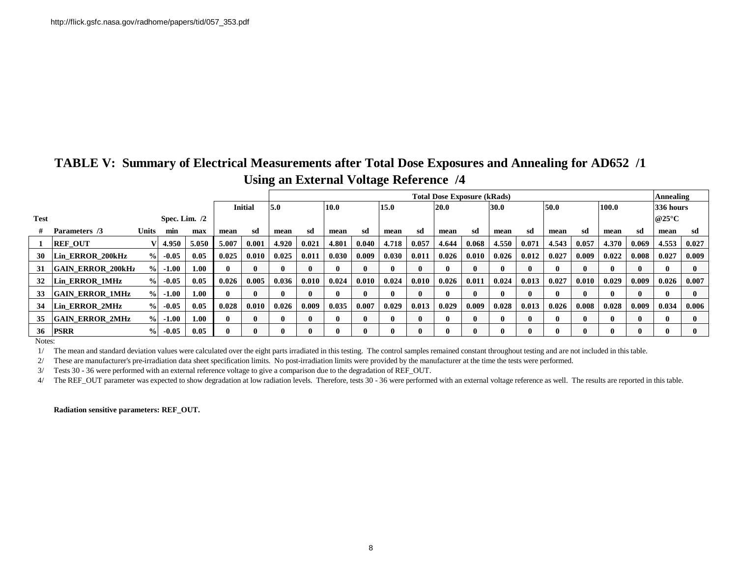| TABLE V: Summary of Electrical Measurements after Total Dose Exposures and Annealing for AD652 /1 |
|---------------------------------------------------------------------------------------------------|
| Using an External Voltage Reference /4                                                            |

|             |                          |               |                 |       |              |                | <b>Total Dose Exposure (kRads)</b> |       |       |       |       |              |              |       |       |              |              | Annealing    |              |       |                          |              |
|-------------|--------------------------|---------------|-----------------|-------|--------------|----------------|------------------------------------|-------|-------|-------|-------|--------------|--------------|-------|-------|--------------|--------------|--------------|--------------|-------|--------------------------|--------------|
|             |                          |               |                 |       |              | <b>Initial</b> | 5.0                                |       | 10.0  |       | 15.0  |              | 20.0         |       | 30.0  |              | 50.0         |              | 100.0        |       | 336 hours                |              |
| <b>Test</b> |                          |               | Spec. Lim. $/2$ |       |              |                |                                    |       |       |       |       |              |              |       |       |              |              |              |              |       | @25 $\mathrm{^{\circ}C}$ |              |
|             | Parameters /3            | <b>Units</b>  | min             | max   | mean         | sd             | mean                               | sd    | mean  | sd    | mean  | sd           | mean         | sd    | mean  | sd           | mean         | sd           | mean         | -sd   | mean                     | -sd          |
|             | <b>REF OUT</b>           |               | 4.950           | 5.050 | 5.007        | 0.001          | 4.920                              | 0.021 | 4.801 | 0.040 | 4.718 | 0.057        | 4.644        | 0.068 | 4.550 | 0.071        | 4.543        | 0.057        | 4.370        | 0.069 | 4.553                    | 0.027        |
| <b>30</b>   | Lin ERROR 200kHz         | $\frac{9}{6}$ | $-0.05$         | 0.05  | 0.025        | 0.010          | 0.025                              | 0.011 | 0.030 | 0.009 | 0.030 | 0.011        | 0.026        | 0.010 | 0.026 | 0.012        | 0.027        | 0.009        | 0.022        | 0.008 | 0.027                    | 0.009        |
| 31          | <b>GAIN ERROR 200kHz</b> | $\frac{0}{0}$ | $-1.00$         | 1.00  | $\mathbf{r}$ |                | 0                                  |       |       | 0     |       | 0            | $\mathbf{0}$ | 0     | 0     | $\mathbf{0}$ | $\mathbf{0}$ | 0            | $\mathbf{0}$ |       | $\mathbf{0}$             | $\mathbf{0}$ |
|             | 32 Lin ERROR 1MHz        | $\frac{0}{0}$ | $-0.05$         | 0.05  | 0.026        | 0.005          | 0.036                              | 0.010 | 0.024 | 0.010 | 0.024 | 0.010        | 0.026        | 0.011 | 0.024 | 0.013        | 0.027        | 0.010        | 0.029        | 0.009 | 0.026                    | 0.007        |
| 33          | <b>GAIN ERROR 1MHz</b>   | $\%$          | $-1.00$         | 1.00  | 0            |                | $\mathbf{0}$                       |       |       |       |       | $\mathbf{0}$ | $\mathbf{0}$ | 0     | 0     | $\mathbf{0}$ | $\mathbf{0}$ | 0            | $\mathbf{0}$ |       | $\mathbf{0}$             | $\mathbf{0}$ |
| 34          | Lin ERROR 2MHz           | $\frac{0}{0}$ | $-0.05$         | 0.05  | 0.028        | 0.010          | 0.026                              | 0.009 | 0.035 | 0.007 | 0.029 | 0.013        | 0.029        | 0.009 | 0.028 | 0.013        | 0.026        | 0.008        | 0.028        | 0.009 | 0.034                    | 0.006        |
| 35          | <b>GAIN ERROR 2MHz</b>   | $\frac{0}{0}$ | $-1.00$         | 1.00  | $\mathbf{0}$ |                | $\mathbf{0}$                       |       |       | 0     |       | $\mathbf{0}$ | $\mathbf{0}$ | 0     |       | $\mathbf{0}$ | $\mathbf{0}$ | $\mathbf{0}$ | $\mathbf{0}$ |       | $\mathbf{0}$             | $\mathbf{0}$ |
|             | <b>36 PSRR</b>           | $\frac{1}{2}$ | $-0.05$         | 0.05  |              |                | $\mathbf{0}$                       |       |       |       |       |              | $\mathbf{0}$ |       |       | $\mathbf{0}$ |              |              | 0            |       |                          |              |

Notes:

1/ The mean and standard deviation values were calculated over the eight parts irradiated in this testing. The control samples remained constant throughout testing and are not included in this table.

2/ These are manufacturer's pre-irradiation data sheet specification limits. No post-irradiation limits were provided by the manufacturer at the time the tests were performed.

3/ Tests 30 - 36 were performed with an external reference voltage to give a comparison due to the degradation of REF\_OUT.

4/ The REF\_OUT parameter was expected to show degradation at low radiation levels. Therefore, tests 30 - 36 were performed with an external voltage reference as well. The results are reported in this table.

**Radiation sensitive parameters: REF\_OUT.**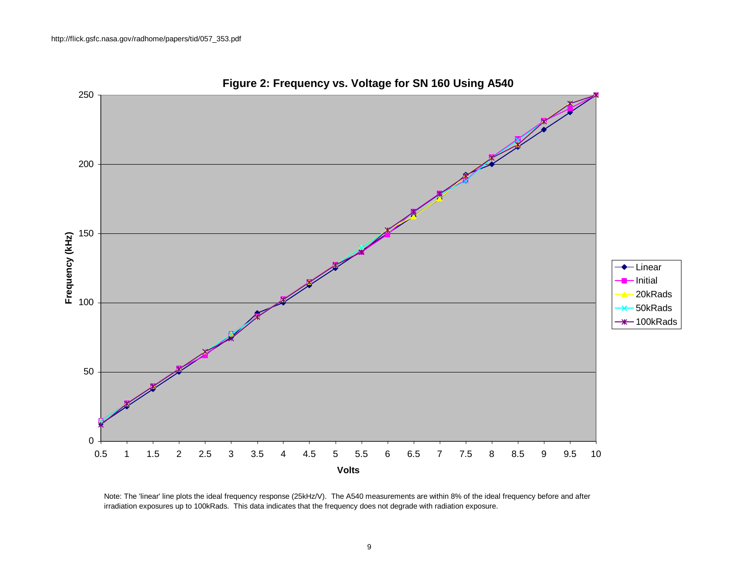

**Figure 2: Frequency vs. Voltage for SN 160 Using A540**

Note: The 'linear' line plots the ideal frequency response (25kHz/V). The A540 measurements are within 8% of the ideal frequency before and after irradiation exposures up to 100kRads. This data indicates that the frequency does not degrade with radiation exposure.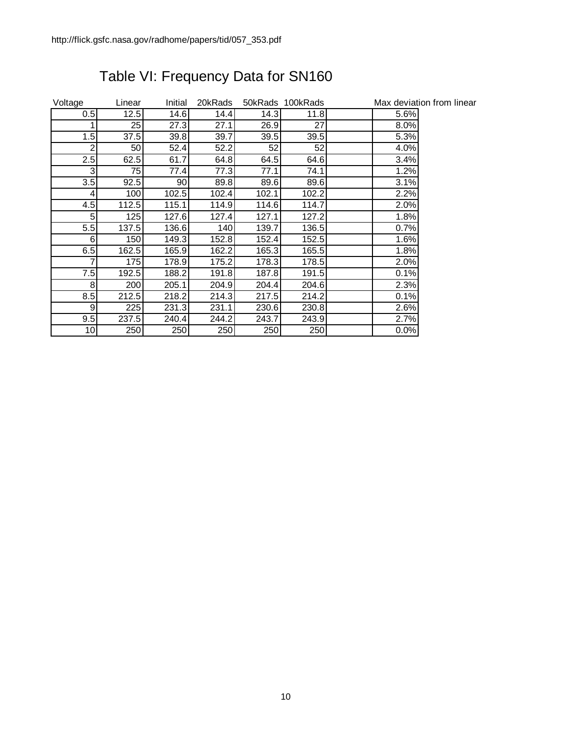| Voltage | Linear | Initial | 20kRads |       | 50kRads 100kRads |      | Max deviation from linear |
|---------|--------|---------|---------|-------|------------------|------|---------------------------|
| 0.5     | 12.5   | 14.6    | 14.4    | 14.3  | 11.8             | 5.6% |                           |
|         | 25     | 27.3    | 27.1    | 26.9  | 27               | 8.0% |                           |
| 1.5     | 37.5   | 39.8    | 39.7    | 39.5  | 39.5             | 5.3% |                           |
| 2       | 50     | 52.4    | 52.2    | 52    | 52               | 4.0% |                           |
| 2.5     | 62.5   | 61.7    | 64.8    | 64.5  | 64.6             | 3.4% |                           |
| 3       | 75 I   | 77.4    | 77.3    | 77.1  | 74.1             | 1.2% |                           |
| 3.5     | 92.5   | 90      | 89.8    | 89.6  | 89.6             | 3.1% |                           |
| 4       | 100    | 102.5   | 102.4   | 102.1 | 102.2            | 2.2% |                           |
| 4.5     | 112.5  | 115.1   | 114.9   | 114.6 | 114.7            | 2.0% |                           |
| 5       | 125    | 127.6   | 127.4   | 127.1 | 127.2            | 1.8% |                           |
| 5.5     | 137.5  | 136.6   | 140     | 139.7 | 136.5            | 0.7% |                           |
| 6       | 150    | 149.3   | 152.8   | 152.4 | 152.5            | 1.6% |                           |
| 6.5     | 162.5  | 165.9   | 162.2   | 165.3 | 165.5            | 1.8% |                           |
|         | 175    | 178.9   | 175.2   | 178.3 | 178.5            | 2.0% |                           |
| 7.5     | 192.5  | 188.2   | 191.8   | 187.8 | 191.5            | 0.1% |                           |
| 8       | 200    | 205.1   | 204.9   | 204.4 | 204.6            | 2.3% |                           |
| 8.5     | 212.5  | 218.2   | 214.3   | 217.5 | 214.2            | 0.1% |                           |
| 9       | 225    | 231.3   | 231.1   | 230.6 | 230.8            | 2.6% |                           |
| 9.5     | 237.5  | 240.4   | 244.2   | 243.7 | 243.9            | 2.7% |                           |
| 10      | 250    | 250     | 250     | 250   | 250              | 0.0% |                           |

# Table VI: Frequency Data for SN160